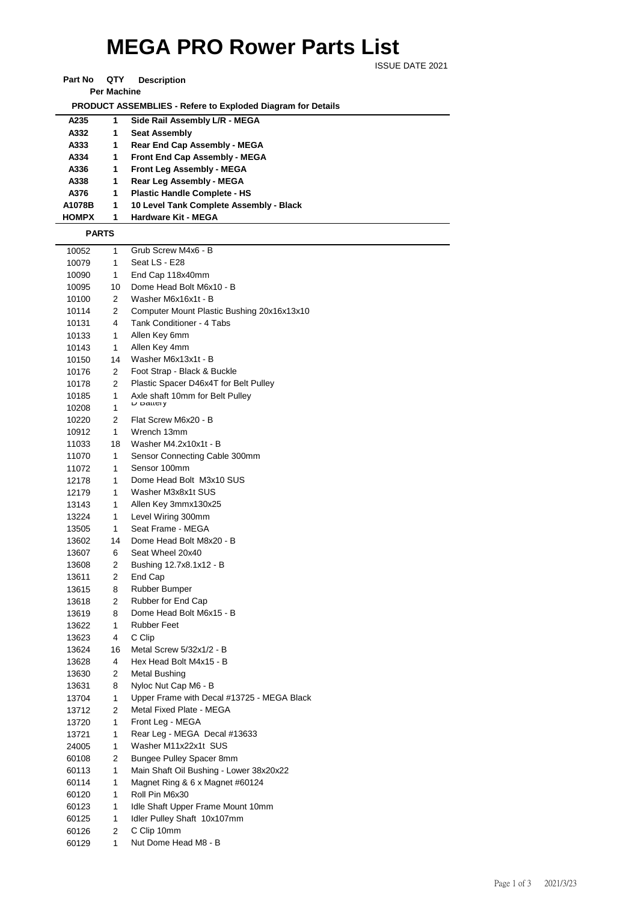## **MEGA PRO Rower Parts List**

ISSUE DATE 2021

| Part No            | QTY | <b>Description</b> |  |  |  |  |
|--------------------|-----|--------------------|--|--|--|--|
| <b>Per Machine</b> |     |                    |  |  |  |  |

 **PRODUCT ASSEMBLIES - Refere to Exploded Diagram for Details** 

| A235         | 1 | Side Rail Assembly L/R - MEGA           |
|--------------|---|-----------------------------------------|
| A332         | 1 | <b>Seat Assembly</b>                    |
| A333         | 1 | <b>Rear End Cap Assembly - MEGA</b>     |
| A334         | 1 | <b>Front End Cap Assembly - MEGA</b>    |
| A336         | 1 | <b>Front Leg Assembly - MEGA</b>        |
| A338         | 1 | Rear Leg Assembly - MEGA                |
| A376         | 1 | <b>Plastic Handle Complete - HS</b>     |
| A1078B       | 1 | 10 Level Tank Complete Assembly - Black |
| <b>HOMPX</b> | 1 | <b>Hardware Kit - MEGA</b>              |
|              |   |                                         |

 **PARTS**

| 10052 | 1              | Grub Screw M4x6 - B                          |
|-------|----------------|----------------------------------------------|
| 10079 | 1              | Seat LS - E28                                |
| 10090 | 1              | End Cap 118x40mm                             |
| 10095 | 10             | Dome Head Bolt M6x10 - B                     |
| 10100 | $\overline{2}$ | Washer M6x16x1t - B                          |
| 10114 | 2              | Computer Mount Plastic Bushing 20x16x13x10   |
| 10131 | 4              | Tank Conditioner - 4 Tabs                    |
| 10133 | 1              | Allen Key 6mm                                |
| 10143 | 1              | Allen Key 4mm                                |
| 10150 | 14             | Washer M6x13x1t - B                          |
| 10176 | 2              | Foot Strap - Black & Buckle                  |
| 10178 | $\overline{2}$ | Plastic Spacer D46x4T for Belt Pulley        |
| 10185 | 1              | Axle shaft 10mm for Belt Pulley<br>D Dallely |
| 10208 | 1              |                                              |
| 10220 | 2              | Flat Screw M6x20 - B                         |
| 10912 | 1              | Wrench 13mm                                  |
| 11033 | 18             | Washer M4.2x10x1t - B                        |
| 11070 | 1              | Sensor Connecting Cable 300mm                |
| 11072 | 1              | Sensor 100mm                                 |
| 12178 | 1              | Dome Head Bolt M3x10 SUS                     |
| 12179 | 1              | Washer M3x8x1t SUS                           |
| 13143 | 1              | Allen Key 3mmx130x25                         |
| 13224 | 1              | Level Wiring 300mm                           |
| 13505 | 1              | Seat Frame - MEGA                            |
| 13602 | 14             | Dome Head Bolt M8x20 - B                     |
| 13607 | 6              | Seat Wheel 20x40                             |
| 13608 | $\overline{2}$ | Bushing 12.7x8.1x12 - B                      |
| 13611 | 2              | End Cap                                      |
| 13615 | 8              | Rubber Bumper                                |
| 13618 | $\overline{2}$ | Rubber for End Cap                           |
| 13619 | 8              | Dome Head Bolt M6x15 - B                     |
| 13622 | 1              | <b>Rubber Feet</b>                           |
| 13623 | 4              | C Clip                                       |
| 13624 | 16             | Metal Screw 5/32x1/2 - B                     |
| 13628 | 4              | Hex Head Bolt M4x15 - B                      |
| 13630 | $\overline{2}$ | Metal Bushing                                |
| 13631 | 8              | Nyloc Nut Cap M6 - B                         |
| 13704 | 1              | Upper Frame with Decal #13725 - MEGA Black   |
| 13712 | 2              | Metal Fixed Plate - MEGA                     |
| 13720 | 1              | Front Leg - MEGA                             |
| 13721 | 1              | Rear Leg - MEGA Decal #13633                 |
| 24005 | 1              | Washer M11x22x1t SUS                         |
| 60108 | 2              | <b>Bungee Pulley Spacer 8mm</b>              |
| 60113 | 1              | Main Shaft Oil Bushing - Lower 38x20x22      |
| 60114 | 1              | Magnet Ring & 6 x Magnet #60124              |
| 60120 | 1              | Roll Pin M6x30                               |
| 60123 | 1              | Idle Shaft Upper Frame Mount 10mm            |
| 60125 | 1              | Idler Pulley Shaft 10x107mm                  |
| 60126 | 2              | C Clip 10mm                                  |
| 60129 | 1              | Nut Dome Head M8 - B                         |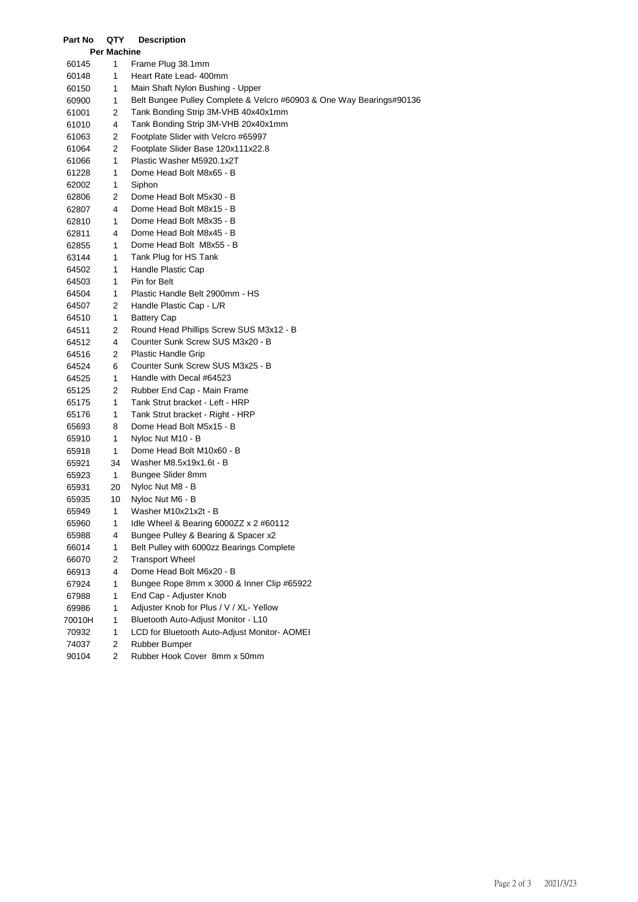| Part No | QTY                | <b>Description</b>                                                   |  |  |
|---------|--------------------|----------------------------------------------------------------------|--|--|
|         | <b>Per Machine</b> |                                                                      |  |  |
| 60145   | 1                  | Frame Plug 38.1mm                                                    |  |  |
| 60148   | 1                  | Heart Rate Lead- 400mm                                               |  |  |
| 60150   | 1                  | Main Shaft Nylon Bushing - Upper                                     |  |  |
| 60900   | 1                  | Belt Bungee Pulley Complete & Velcro #60903 & One Way Bearings#90136 |  |  |
| 61001   | 2                  | Tank Bonding Strip 3M-VHB 40x40x1mm                                  |  |  |
| 61010   | 4                  | Tank Bonding Strip 3M-VHB 20x40x1mm                                  |  |  |
| 61063   | 2                  | Footplate Slider with Velcro #65997                                  |  |  |
| 61064   | 2                  | Footplate Slider Base 120x111x22.8                                   |  |  |
| 61066   | 1                  | Plastic Washer M5920.1x2T                                            |  |  |
| 61228   | 1                  | Dome Head Bolt M8x65 - B                                             |  |  |
| 62002   | 1                  | Siphon                                                               |  |  |
| 62806   | 2                  | Dome Head Bolt M5x30 - B                                             |  |  |
| 62807   | 4                  | Dome Head Bolt M8x15 - B                                             |  |  |
| 62810   | 1                  | Dome Head Bolt M8x35 - B                                             |  |  |
| 62811   | 4                  | Dome Head Bolt M8x45 - B                                             |  |  |
| 62855   | 1                  | Dome Head Bolt M8x55 - B                                             |  |  |
| 63144   | 1                  | Tank Plug for HS Tank                                                |  |  |
| 64502   | 1                  | Handle Plastic Cap                                                   |  |  |
| 64503   | 1                  | Pin for Belt                                                         |  |  |
| 64504   | 1                  | Plastic Handle Belt 2900mm - HS                                      |  |  |
| 64507   | 2                  | Handle Plastic Cap - L/R                                             |  |  |
| 64510   | 1                  | <b>Battery Cap</b>                                                   |  |  |
| 64511   | 2                  | Round Head Phillips Screw SUS M3x12 - B                              |  |  |
| 64512   | 4                  | Counter Sunk Screw SUS M3x20 - B                                     |  |  |
| 64516   | 2                  | Plastic Handle Grip                                                  |  |  |
| 64524   | 6                  | Counter Sunk Screw SUS M3x25 - B                                     |  |  |
| 64525   | 1                  | Handle with Decal #64523                                             |  |  |
| 65125   | 2                  | Rubber End Cap - Main Frame                                          |  |  |
| 65175   | 1                  | Tank Strut bracket - Left - HRP                                      |  |  |
| 65176   | 1                  | Tank Strut bracket - Right - HRP                                     |  |  |
| 65693   | 8                  | Dome Head Bolt M5x15 - B                                             |  |  |
| 65910   | 1                  | Nyloc Nut M10 - B                                                    |  |  |
| 65918   | 1                  | Dome Head Bolt M10x60 - B                                            |  |  |
| 65921   | 34                 | Washer M8.5x19x1.6t - B                                              |  |  |
| 65923   | $\mathbf{1}$       | Bungee Slider 8mm                                                    |  |  |
| 65931   | 20                 | Nyloc Nut M8 - B                                                     |  |  |
| 65935   | 10                 | Nyloc Nut M6 - B                                                     |  |  |
| 65949   | 1                  | Washer M10x21x2t - B                                                 |  |  |
| 65960   | 1                  | Idle Wheel & Bearing 6000ZZ $\times$ 2 #60112                        |  |  |
| 65988   | 4                  | Bungee Pulley & Bearing & Spacer x2                                  |  |  |
| 66014   | 1                  | Belt Pulley with 6000zz Bearings Complete                            |  |  |
| 66070   | 2                  | <b>Transport Wheel</b>                                               |  |  |
| 66913   | 4                  | Dome Head Bolt M6x20 - B                                             |  |  |
| 67924   | 1                  | Bungee Rope 8mm x 3000 & Inner Clip #65922                           |  |  |
| 67988   | 1                  | End Cap - Adjuster Knob                                              |  |  |
| 69986   | 1                  | Adjuster Knob for Plus / V / XL- Yellow                              |  |  |
| 70010H  | 1                  | Bluetooth Auto-Adjust Monitor - L10                                  |  |  |
| 70932   | 1                  | LCD for Bluetooth Auto-Adjust Monitor- AOMEI                         |  |  |
| 74037   | 2                  | Rubber Bumper                                                        |  |  |
| 90104   | 2                  | Rubber Hook Cover 8mm x 50mm                                         |  |  |